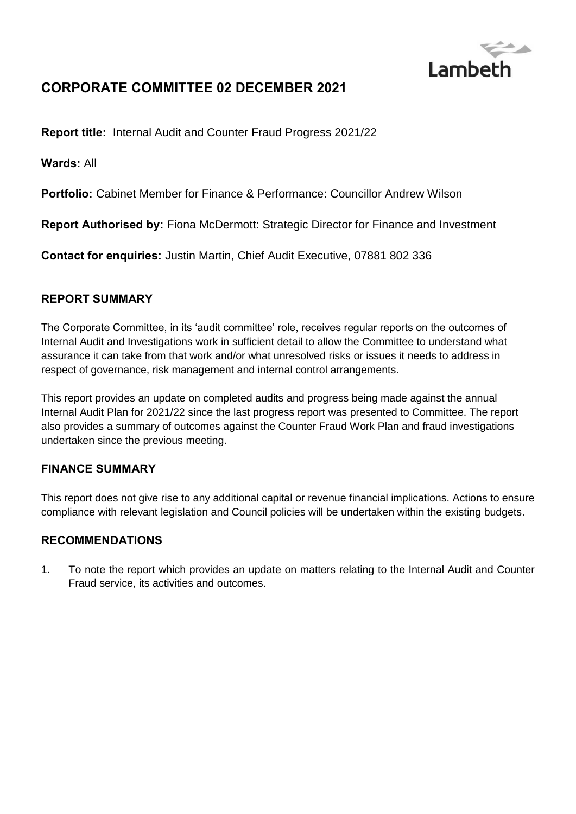

# **CORPORATE COMMITTEE 02 DECEMBER 2021**

**Report title:** Internal Audit and Counter Fraud Progress 2021/22

**Wards:** All

**Portfolio:** Cabinet Member for Finance & Performance: Councillor Andrew Wilson

**Report Authorised by:** Fiona McDermott: Strategic Director for Finance and Investment

**Contact for enquiries:** Justin Martin, Chief Audit Executive, 07881 802 336

### **REPORT SUMMARY**

The Corporate Committee, in its 'audit committee' role, receives regular reports on the outcomes of Internal Audit and Investigations work in sufficient detail to allow the Committee to understand what assurance it can take from that work and/or what unresolved risks or issues it needs to address in respect of governance, risk management and internal control arrangements.

This report provides an update on completed audits and progress being made against the annual Internal Audit Plan for 2021/22 since the last progress report was presented to Committee. The report also provides a summary of outcomes against the Counter Fraud Work Plan and fraud investigations undertaken since the previous meeting.

### **FINANCE SUMMARY**

This report does not give rise to any additional capital or revenue financial implications. Actions to ensure compliance with relevant legislation and Council policies will be undertaken within the existing budgets.

### **RECOMMENDATIONS**

1. To note the report which provides an update on matters relating to the Internal Audit and Counter Fraud service, its activities and outcomes.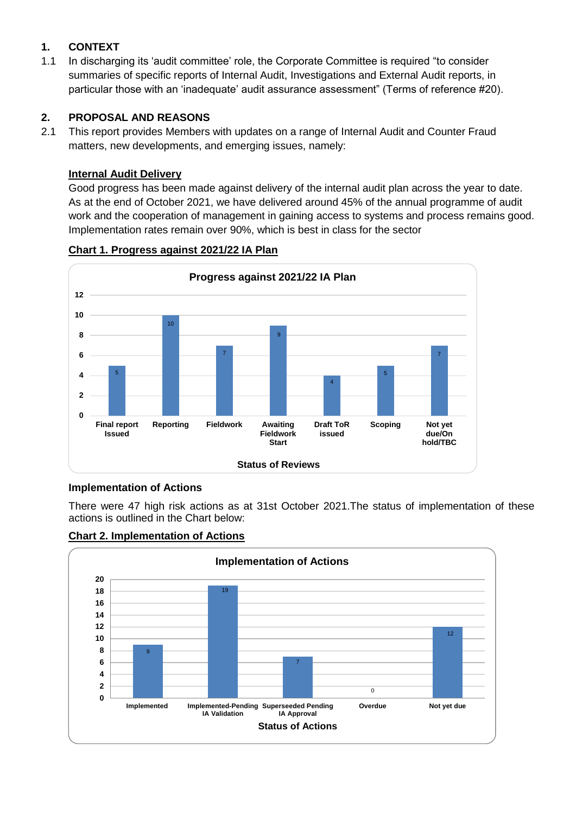## **1. CONTEXT**

1.1 In discharging its 'audit committee' role, the Corporate Committee is required "to consider summaries of specific reports of Internal Audit, Investigations and External Audit reports, in particular those with an 'inadequate' audit assurance assessment" (Terms of reference #20).

### **2. PROPOSAL AND REASONS**

2.1 This report provides Members with updates on a range of Internal Audit and Counter Fraud matters, new developments, and emerging issues, namely:

### **Internal Audit Delivery**

Good progress has been made against delivery of the internal audit plan across the year to date. As at the end of October 2021, we have delivered around 45% of the annual programme of audit work and the cooperation of management in gaining access to systems and process remains good. Implementation rates remain over 90%, which is best in class for the sector



#### **Chart 1. Progress against 2021/22 IA Plan**

## **Implementation of Actions**

There were 47 high risk actions as at 31st October 2021.The status of implementation of these actions is outlined in the Chart below:



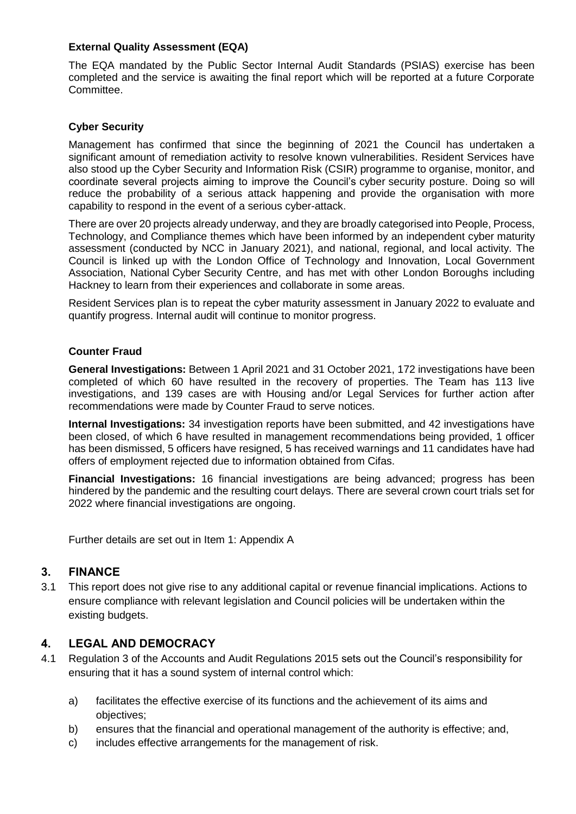#### **External Quality Assessment (EQA)**

The EQA mandated by the Public Sector Internal Audit Standards (PSIAS) exercise has been completed and the service is awaiting the final report which will be reported at a future Corporate Committee.

#### **Cyber Security**

Management has confirmed that since the beginning of 2021 the Council has undertaken a significant amount of remediation activity to resolve known vulnerabilities. Resident Services have also stood up the Cyber Security and Information Risk (CSIR) programme to organise, monitor, and coordinate several projects aiming to improve the Council's cyber security posture. Doing so will reduce the probability of a serious attack happening and provide the organisation with more capability to respond in the event of a serious cyber-attack.

There are over 20 projects already underway, and they are broadly categorised into People, Process, Technology, and Compliance themes which have been informed by an independent cyber maturity assessment (conducted by NCC in January 2021), and national, regional, and local activity. The Council is linked up with the London Office of Technology and Innovation, Local Government Association, National Cyber Security Centre, and has met with other London Boroughs including Hackney to learn from their experiences and collaborate in some areas.

Resident Services plan is to repeat the cyber maturity assessment in January 2022 to evaluate and quantify progress. Internal audit will continue to monitor progress.

#### **Counter Fraud**

**General Investigations:** Between 1 April 2021 and 31 October 2021, 172 investigations have been completed of which 60 have resulted in the recovery of properties. The Team has 113 live investigations, and 139 cases are with Housing and/or Legal Services for further action after recommendations were made by Counter Fraud to serve notices.

**Internal Investigations:** 34 investigation reports have been submitted, and 42 investigations have been closed, of which 6 have resulted in management recommendations being provided, 1 officer has been dismissed, 5 officers have resigned, 5 has received warnings and 11 candidates have had offers of employment rejected due to information obtained from Cifas.

**Financial Investigations:** 16 financial investigations are being advanced; progress has been hindered by the pandemic and the resulting court delays. There are several crown court trials set for 2022 where financial investigations are ongoing.

Further details are set out in Item 1: Appendix A

### **3. FINANCE**

3.1 This report does not give rise to any additional capital or revenue financial implications. Actions to ensure compliance with relevant legislation and Council policies will be undertaken within the existing budgets.

#### **4. LEGAL AND DEMOCRACY**

- 4.1 Regulation 3 of the Accounts and Audit Regulations 2015 sets out the Council's responsibility for ensuring that it has a sound system of internal control which:
	- a) facilitates the effective exercise of its functions and the achievement of its aims and objectives;
	- b) ensures that the financial and operational management of the authority is effective; and,
	- c) includes effective arrangements for the management of risk.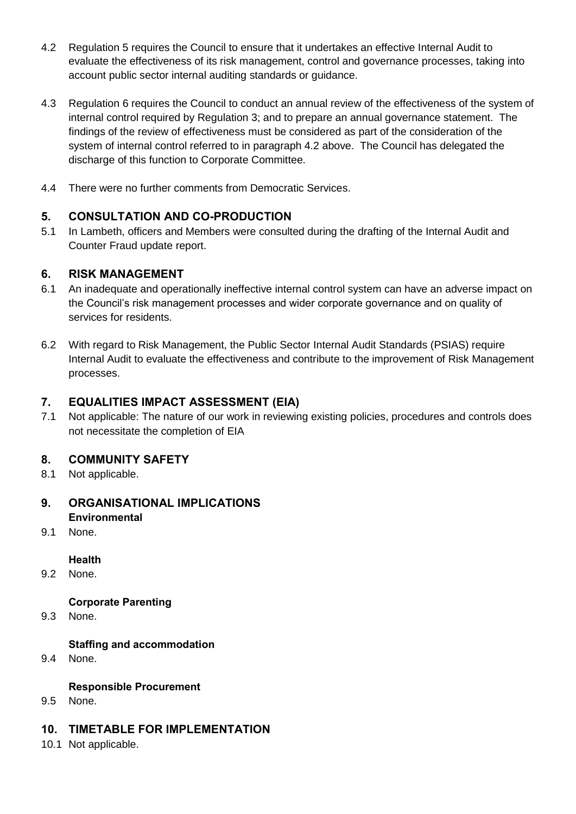- 4.2 Regulation 5 requires the Council to ensure that it undertakes an effective Internal Audit to evaluate the effectiveness of its risk management, control and governance processes, taking into account public sector internal auditing standards or guidance.
- 4.3 Regulation 6 requires the Council to conduct an annual review of the effectiveness of the system of internal control required by Regulation 3; and to prepare an annual governance statement. The findings of the review of effectiveness must be considered as part of the consideration of the system of internal control referred to in paragraph 4.2 above. The Council has delegated the discharge of this function to Corporate Committee.
- 4.4 There were no further comments from Democratic Services.

## **5. CONSULTATION AND CO-PRODUCTION**

5.1 In Lambeth, officers and Members were consulted during the drafting of the Internal Audit and Counter Fraud update report.

### **6. RISK MANAGEMENT**

- 6.1 An inadequate and operationally ineffective internal control system can have an adverse impact on the Council's risk management processes and wider corporate governance and on quality of services for residents.
- 6.2 With regard to Risk Management, the Public Sector Internal Audit Standards (PSIAS) require Internal Audit to evaluate the effectiveness and contribute to the improvement of Risk Management processes.

## **7. EQUALITIES IMPACT ASSESSMENT (EIA)**

7.1 Not applicable: The nature of our work in reviewing existing policies, procedures and controls does not necessitate the completion of EIA

## **8. COMMUNITY SAFETY**

8.1 Not applicable.

### **9. ORGANISATIONAL IMPLICATIONS Environmental**

9.1 None.

### **Health**

9.2 None.

### **Corporate Parenting**

9.3 None.

### **Staffing and accommodation**

9.4 None.

### **Responsible Procurement**

9.5 None.

### **10. TIMETABLE FOR IMPLEMENTATION**

10.1 Not applicable.